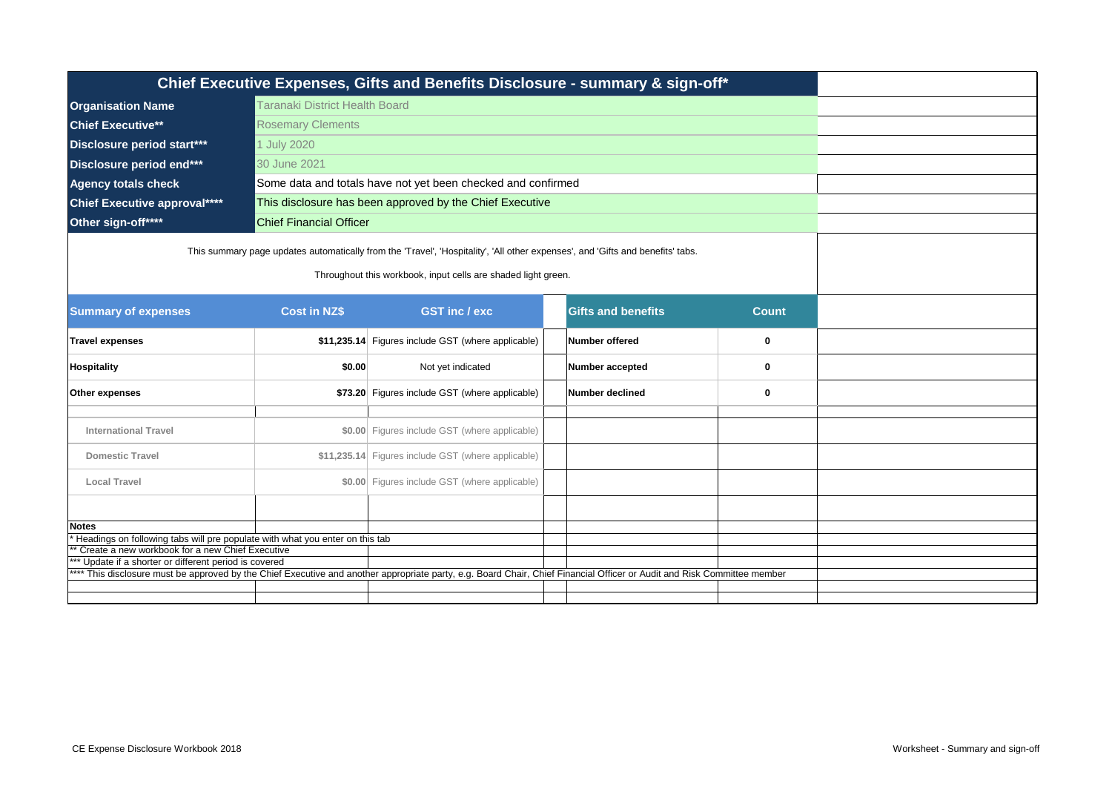| Chief Executive Expenses, Gifts and Benefits Disclosure - summary & sign-off*                                                                                           |                                                                                                                                                                                                 |                                                              |  |                 |   |  |  |  |
|-------------------------------------------------------------------------------------------------------------------------------------------------------------------------|-------------------------------------------------------------------------------------------------------------------------------------------------------------------------------------------------|--------------------------------------------------------------|--|-----------------|---|--|--|--|
| Taranaki District Health Board<br><b>Organisation Name</b>                                                                                                              |                                                                                                                                                                                                 |                                                              |  |                 |   |  |  |  |
| <b>Chief Executive**</b>                                                                                                                                                | <b>Rosemary Clements</b>                                                                                                                                                                        |                                                              |  |                 |   |  |  |  |
| Disclosure period start***                                                                                                                                              | 1 July 2020                                                                                                                                                                                     |                                                              |  |                 |   |  |  |  |
| Disclosure period end***                                                                                                                                                | 30 June 2021                                                                                                                                                                                    |                                                              |  |                 |   |  |  |  |
| <b>Agency totals check</b>                                                                                                                                              |                                                                                                                                                                                                 | Some data and totals have not yet been checked and confirmed |  |                 |   |  |  |  |
| <b>Chief Executive approval****</b>                                                                                                                                     |                                                                                                                                                                                                 | This disclosure has been approved by the Chief Executive     |  |                 |   |  |  |  |
| Other sign-off****                                                                                                                                                      | <b>Chief Financial Officer</b>                                                                                                                                                                  |                                                              |  |                 |   |  |  |  |
|                                                                                                                                                                         | This summary page updates automatically from the 'Travel', 'Hospitality', 'All other expenses', and 'Gifts and benefits' tabs.<br>Throughout this workbook, input cells are shaded light green. |                                                              |  |                 |   |  |  |  |
| <b>Summary of expenses</b>                                                                                                                                              | <b>Cost in NZ\$</b>                                                                                                                                                                             |                                                              |  |                 |   |  |  |  |
| <b>Travel expenses</b>                                                                                                                                                  |                                                                                                                                                                                                 | \$11,235.14 Figures include GST (where applicable)           |  | Number offered  | 0 |  |  |  |
| <b>Hospitality</b>                                                                                                                                                      | \$0.00                                                                                                                                                                                          | Not yet indicated                                            |  | Number accepted | 0 |  |  |  |
| Other expenses                                                                                                                                                          |                                                                                                                                                                                                 | \$73.20 Figures include GST (where applicable)               |  | Number declined | 0 |  |  |  |
| <b>International Travel</b>                                                                                                                                             |                                                                                                                                                                                                 | \$0.00 Figures include GST (where applicable)                |  |                 |   |  |  |  |
| <b>Domestic Travel</b>                                                                                                                                                  |                                                                                                                                                                                                 | \$11,235.14 Figures include GST (where applicable)           |  |                 |   |  |  |  |
| <b>Local Travel</b>                                                                                                                                                     |                                                                                                                                                                                                 | \$0.00 Figures include GST (where applicable)                |  |                 |   |  |  |  |
|                                                                                                                                                                         |                                                                                                                                                                                                 |                                                              |  |                 |   |  |  |  |
| <b>Notes</b>                                                                                                                                                            |                                                                                                                                                                                                 |                                                              |  |                 |   |  |  |  |
| Headings on following tabs will pre populate with what you enter on this tab<br>* Create a new workbook for a new Chief Executive                                       |                                                                                                                                                                                                 |                                                              |  |                 |   |  |  |  |
| ** Update if a shorter or different period is covered                                                                                                                   |                                                                                                                                                                                                 |                                                              |  |                 |   |  |  |  |
| *** This disclosure must be approved by the Chief Executive and another appropriate party, e.g. Board Chair, Chief Financial Officer or Audit and Risk Committee member |                                                                                                                                                                                                 |                                                              |  |                 |   |  |  |  |
|                                                                                                                                                                         |                                                                                                                                                                                                 |                                                              |  |                 |   |  |  |  |
|                                                                                                                                                                         |                                                                                                                                                                                                 |                                                              |  |                 |   |  |  |  |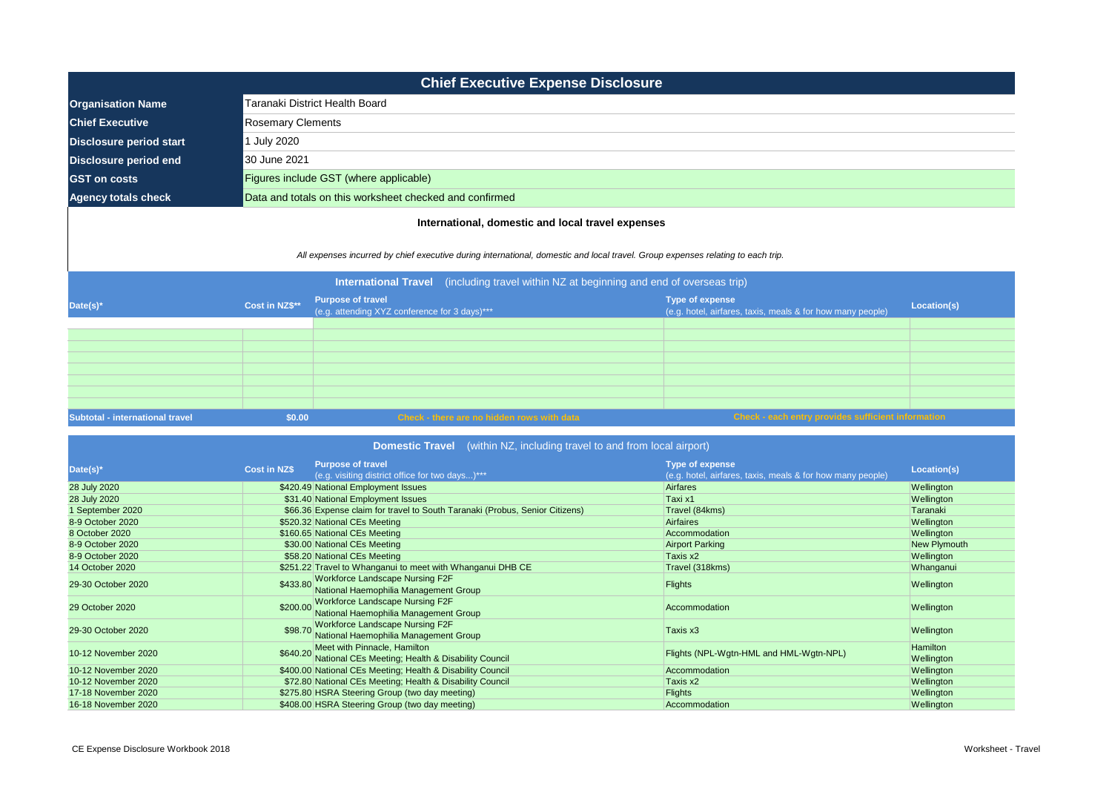| <b>Chief Executive Expense Disclosure</b>                                                                                                                                                                                         |                                |                                                                           |  |                                                                                      |             |  |  |
|-----------------------------------------------------------------------------------------------------------------------------------------------------------------------------------------------------------------------------------|--------------------------------|---------------------------------------------------------------------------|--|--------------------------------------------------------------------------------------|-------------|--|--|
| <b>Organisation Name</b>                                                                                                                                                                                                          | Taranaki District Health Board |                                                                           |  |                                                                                      |             |  |  |
| <b>Chief Executive</b>                                                                                                                                                                                                            |                                | <b>Rosemary Clements</b>                                                  |  |                                                                                      |             |  |  |
| <b>Disclosure period start</b>                                                                                                                                                                                                    | 1 July 2020                    |                                                                           |  |                                                                                      |             |  |  |
| <b>Disclosure period end</b>                                                                                                                                                                                                      | 30 June 2021                   |                                                                           |  |                                                                                      |             |  |  |
| <b>GST</b> on costs                                                                                                                                                                                                               |                                | Figures include GST (where applicable)                                    |  |                                                                                      |             |  |  |
| <b>Agency totals check</b>                                                                                                                                                                                                        |                                | Data and totals on this worksheet checked and confirmed                   |  |                                                                                      |             |  |  |
| All expenses incurred by chief executive during international, domestic and local travel. Group expenses relating to each trip.<br><b>International Travel</b> (including travel within NZ at beginning and end of overseas trip) |                                |                                                                           |  |                                                                                      |             |  |  |
| Date(s)*                                                                                                                                                                                                                          | Cost in NZ\$**                 | <b>Purpose of travel</b><br>(e.g. attending XYZ conference for 3 days)*** |  | <b>Type of expense</b><br>(e.g. hotel, airfares, taxis, meals & for how many people) | Location(s) |  |  |
| Subtotal - international travel                                                                                                                                                                                                   | \$0.00                         | Check - there are no hidden rows with data                                |  | Check - each entry provides sufficient information                                   |             |  |  |

| <b>Domestic Travel</b> (within NZ, including travel to and from local airport) |                     |                                                                                            |                                                                               |                        |  |  |
|--------------------------------------------------------------------------------|---------------------|--------------------------------------------------------------------------------------------|-------------------------------------------------------------------------------|------------------------|--|--|
| Date(s)*                                                                       | <b>Cost in NZ\$</b> | <b>Purpose of travel</b><br>(e.g. visiting district office for two days)***                | Type of expense<br>(e.g. hotel, airfares, taxis, meals & for how many people) | Location(s)            |  |  |
| 28 July 2020                                                                   |                     | \$420.49 National Employment Issues                                                        | <b>Airfares</b>                                                               | Wellington             |  |  |
| 28 July 2020                                                                   |                     | \$31.40 National Employment Issues                                                         | Taxi x1                                                                       | Wellington             |  |  |
| 1 September 2020                                                               |                     | \$66.36 Expense claim for travel to South Taranaki (Probus, Senior Citizens)               | Travel (84kms)                                                                | Taranaki               |  |  |
| 8-9 October 2020                                                               |                     | \$520.32 National CEs Meeting                                                              | Airfaires                                                                     | Wellington             |  |  |
| 8 October 2020                                                                 |                     | \$160.65 National CEs Meeting                                                              | Accommodation                                                                 | Wellington             |  |  |
| 8-9 October 2020                                                               |                     | \$30.00 National CEs Meeting                                                               | <b>Airport Parking</b>                                                        | New Plymouth           |  |  |
| 8-9 October 2020                                                               |                     | \$58.20 National CEs Meeting                                                               | Taxis x2                                                                      | Wellington             |  |  |
| 14 October 2020                                                                |                     | \$251.22 Travel to Whanganui to meet with Whanganui DHB CE                                 | Travel (318kms)                                                               | Whanganui              |  |  |
| 29-30 October 2020                                                             | \$433.80            | <b>Workforce Landscape Nursing F2F</b><br>National Haemophilia Management Group            | <b>Flights</b>                                                                | Wellington             |  |  |
| 29 October 2020                                                                |                     | <b>Workforce Landscape Nursing F2F</b><br>\$200.00 National Haemophilia Management Group   | Accommodation                                                                 | Wellington             |  |  |
| 29-30 October 2020                                                             | \$98.70             | <b>Workforce Landscape Nursing F2F</b><br>National Haemophilia Management Group            | Taxis x3                                                                      | Wellington             |  |  |
| 10-12 November 2020                                                            |                     | \$640.20 Meet with Pinnacle, Hamilton<br>National CEs Meeting; Health & Disability Council | Flights (NPL-Wgtn-HML and HML-Wgtn-NPL)                                       | Hamilton<br>Wellington |  |  |
| 10-12 November 2020                                                            |                     | \$400.00 National CEs Meeting; Health & Disability Council                                 | Accommodation                                                                 | Wellington             |  |  |
| 10-12 November 2020                                                            |                     | \$72.80 National CEs Meeting; Health & Disability Council                                  | Taxis x2                                                                      | Wellington             |  |  |
| 17-18 November 2020                                                            |                     | \$275.80 HSRA Steering Group (two day meeting)                                             | <b>Flights</b>                                                                | Wellington             |  |  |
| 16-18 November 2020                                                            |                     | \$408.00 HSRA Steering Group (two day meeting)                                             | Accommodation                                                                 | Wellington             |  |  |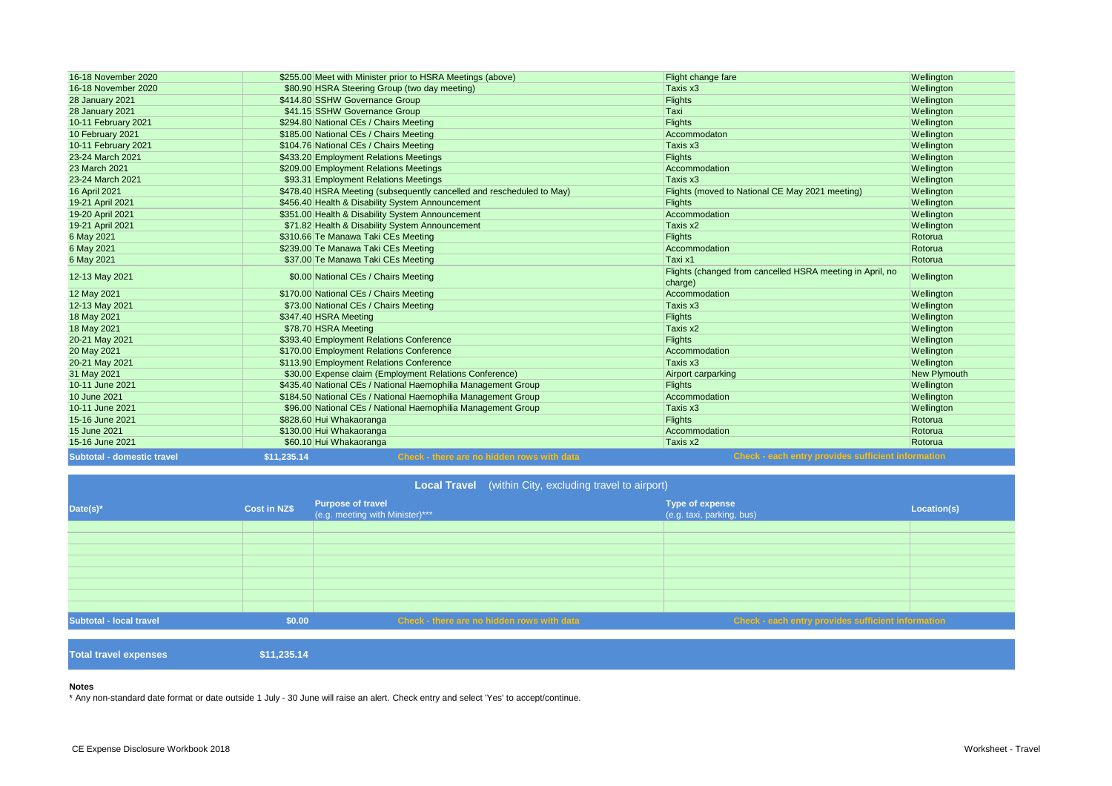| 16-18 November 2020    | \$255.00 Meet with Minister prior to HSRA Meetings (above)            | Flight change fare                                                   | Wellington   |
|------------------------|-----------------------------------------------------------------------|----------------------------------------------------------------------|--------------|
| 16-18 November 2020    | \$80.90 HSRA Steering Group (two day meeting)                         | Taxis x3                                                             | Wellington   |
| <b>28 January 2021</b> | \$414.80 SSHW Governance Group                                        | <b>Flights</b>                                                       | Wellington   |
| <b>28 January 2021</b> | \$41.15 SSHW Governance Group                                         | Taxi                                                                 | Wellington   |
| 10-11 February 2021    | \$294.80 National CEs / Chairs Meeting                                | <b>Flights</b>                                                       | Wellington   |
| 10 February 2021       | \$185.00 National CEs / Chairs Meeting                                | Accommodaton                                                         | Wellington   |
| 10-11 February 2021    | \$104.76 National CEs / Chairs Meeting                                | Taxis x3                                                             | Wellington   |
| 23-24 March 2021       | \$433.20 Employment Relations Meetings                                | <b>Flights</b>                                                       | Wellington   |
| 23 March 2021          | \$209.00 Employment Relations Meetings                                | Accommodation                                                        | Wellington   |
| 23-24 March 2021       | \$93.31 Employment Relations Meetings                                 | Taxis x3                                                             | Wellington   |
| 16 April 2021          | \$478.40 HSRA Meeting (subsequently cancelled and rescheduled to May) | Flights (moved to National CE May 2021 meeting)                      | Wellington   |
| 19-21 April 2021       | \$456.40 Health & Disability System Announcement                      | <b>Flights</b>                                                       | Wellington   |
| 19-20 April 2021       | \$351.00 Health & Disability System Announcement                      | Accommodation                                                        | Wellington   |
| 19-21 April 2021       | \$71.82 Health & Disability System Announcement                       | Taxis x2                                                             | Wellington   |
| 6 May 2021             | \$310.66 Te Manawa Taki CEs Meeting                                   | <b>Flights</b>                                                       | Rotorua      |
| 6 May 2021             | \$239.00 Te Manawa Taki CEs Meeting                                   | Accommodation                                                        | Rotorua      |
| 6 May 2021             | \$37.00 Te Manawa Taki CEs Meeting                                    | Taxi x1                                                              | Rotorua      |
| 12-13 May 2021         | \$0.00 National CEs / Chairs Meeting                                  | Flights (changed from cancelled HSRA meeting in April, no<br>charge) | Wellington   |
| 12 May 2021            | \$170.00 National CEs / Chairs Meeting                                | Accommodation                                                        | Wellington   |
| 12-13 May 2021         | \$73.00 National CEs / Chairs Meeting                                 | Taxis x3                                                             | Wellington   |
| 18 May 2021            | \$347.40 HSRA Meeting                                                 | <b>Flights</b>                                                       | Wellington   |
| 18 May 2021            | \$78.70 HSRA Meeting                                                  | Taxis x2                                                             | Wellington   |
| 20-21 May 2021         | \$393.40 Employment Relations Conference                              | <b>Flights</b>                                                       | Wellington   |
| 20 May 2021            | \$170.00 Employment Relations Conference                              | Accommodation                                                        | Wellington   |
| 20-21 May 2021         | \$113.90 Employment Relations Conference                              | Taxis x3                                                             | Wellington   |
| 31 May 2021            | \$30.00 Expense claim (Employment Relations Conference)               | Airport carparking                                                   | New Plymouth |
| 10-11 June 2021        | \$435.40 National CEs / National Haemophilia Management Group         | <b>Flights</b>                                                       | Wellington   |
| 10 June 2021           | \$184.50 National CEs / National Haemophilia Management Group         | Accommodation                                                        | Wellington   |
| 10-11 June 2021        | \$96.00 National CEs / National Haemophilia Management Group          | Taxis x3                                                             | Wellington   |
| 15-16 June 2021        | \$828.60 Hui Whakaoranga                                              | <b>Flights</b>                                                       | Rotorua      |
| 15 June 2021           | \$130.00 Hui Whakaoranga                                              | Accommodation                                                        | Rotorua      |
|                        |                                                                       |                                                                      |              |
| 15-16 June 2021        | \$60.10 Hui Whakaoranga                                               | Taxis x2                                                             | Rotorua      |

| <b>Local Travel</b> (within City, excluding travel to airport) |              |                                                      |                                            |                                                     |             |
|----------------------------------------------------------------|--------------|------------------------------------------------------|--------------------------------------------|-----------------------------------------------------|-------------|
| Date(s)*                                                       | Cost in NZ\$ | Purpose of travel<br>(e.g. meeting with Minister)*** |                                            | <b>Type of expense</b><br>(e.g. taxi, parking, bus) | Location(s) |
|                                                                |              |                                                      |                                            |                                                     |             |
|                                                                |              |                                                      |                                            |                                                     |             |
|                                                                |              |                                                      |                                            |                                                     |             |
|                                                                |              |                                                      |                                            |                                                     |             |
|                                                                |              |                                                      |                                            |                                                     |             |
|                                                                |              |                                                      |                                            |                                                     |             |
|                                                                |              |                                                      |                                            |                                                     |             |
|                                                                |              |                                                      |                                            |                                                     |             |
| Subtotal - local travel                                        | \$0.00       |                                                      | Check - there are no hidden rows with data | Check - each entry provides sufficient information  |             |
|                                                                |              |                                                      |                                            |                                                     |             |
|                                                                |              |                                                      |                                            |                                                     |             |

**Total travel expenses \$11,235.14**

## **Notes**

\* Any non-standard date format or date outside 1 July - 30 June will raise an alert. Check entry and select 'Yes' to accept/continue.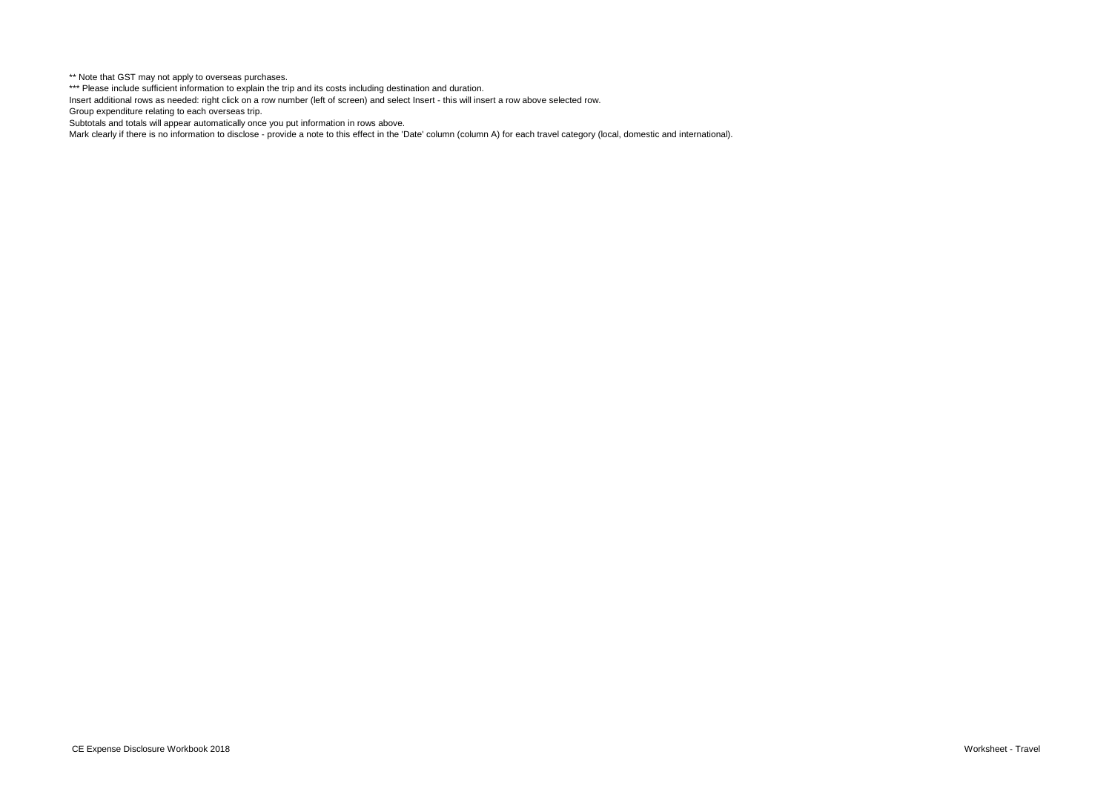\*\* Note that GST may not apply to overseas purchases.

\*\*\* Please include sufficient information to explain the trip and its costs including destination and duration.

Insert additional rows as needed: right click on a row number (left of screen) and select Insert - this will insert a row above selected row.

Group expenditure relating to each overseas trip.

Subtotals and totals will appear automatically once you put information in rows above.

Mark clearly if there is no information to disclose - provide a note to this effect in the 'Date' column (column A) for each travel category (local, domestic and international).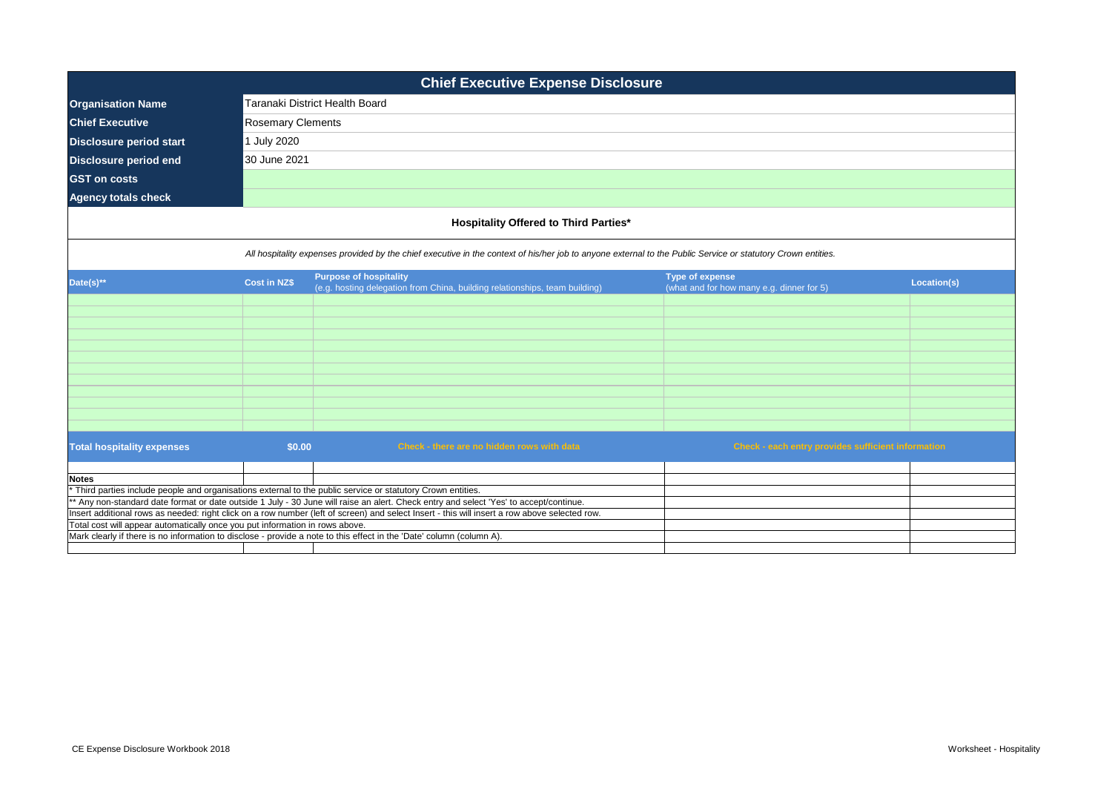| <b>Chief Executive Expense Disclosure</b>                                    |                                                                                                                                               |                                                                                                                                                              |                                                    |             |  |  |
|------------------------------------------------------------------------------|-----------------------------------------------------------------------------------------------------------------------------------------------|--------------------------------------------------------------------------------------------------------------------------------------------------------------|----------------------------------------------------|-------------|--|--|
| <b>Organisation Name</b>                                                     |                                                                                                                                               | Taranaki District Health Board                                                                                                                               |                                                    |             |  |  |
| <b>Chief Executive</b>                                                       | <b>Rosemary Clements</b>                                                                                                                      |                                                                                                                                                              |                                                    |             |  |  |
| <b>Disclosure period start</b>                                               | 1 July 2020                                                                                                                                   |                                                                                                                                                              |                                                    |             |  |  |
| <b>Disclosure period end</b>                                                 | 30 June 2021                                                                                                                                  |                                                                                                                                                              |                                                    |             |  |  |
| <b>GST</b> on costs                                                          |                                                                                                                                               |                                                                                                                                                              |                                                    |             |  |  |
| <b>Agency totals check</b>                                                   |                                                                                                                                               |                                                                                                                                                              |                                                    |             |  |  |
|                                                                              |                                                                                                                                               |                                                                                                                                                              |                                                    |             |  |  |
|                                                                              |                                                                                                                                               | <b>Hospitality Offered to Third Parties*</b>                                                                                                                 |                                                    |             |  |  |
|                                                                              |                                                                                                                                               | All hospitality expenses provided by the chief executive in the context of his/her job to anyone external to the Public Service or statutory Crown entities. |                                                    |             |  |  |
|                                                                              |                                                                                                                                               | <b>Purpose of hospitality</b>                                                                                                                                | <b>Type of expense</b>                             |             |  |  |
| Date(s) $**$                                                                 | <b>Cost in NZ\$</b>                                                                                                                           | (e.g. hosting delegation from China, building relationships, team building)                                                                                  | (what and for how many e.g. dinner for 5)          | Location(s) |  |  |
|                                                                              |                                                                                                                                               |                                                                                                                                                              |                                                    |             |  |  |
|                                                                              |                                                                                                                                               |                                                                                                                                                              |                                                    |             |  |  |
|                                                                              |                                                                                                                                               |                                                                                                                                                              |                                                    |             |  |  |
|                                                                              |                                                                                                                                               |                                                                                                                                                              |                                                    |             |  |  |
|                                                                              |                                                                                                                                               |                                                                                                                                                              |                                                    |             |  |  |
|                                                                              |                                                                                                                                               |                                                                                                                                                              |                                                    |             |  |  |
|                                                                              |                                                                                                                                               |                                                                                                                                                              |                                                    |             |  |  |
|                                                                              |                                                                                                                                               |                                                                                                                                                              |                                                    |             |  |  |
|                                                                              |                                                                                                                                               |                                                                                                                                                              |                                                    |             |  |  |
| <b>Total hospitality expenses</b>                                            | \$0.00                                                                                                                                        | Check - there are no hidden rows with data                                                                                                                   | Check - each entry provides sufficient information |             |  |  |
|                                                                              |                                                                                                                                               |                                                                                                                                                              |                                                    |             |  |  |
| <b>Notes</b>                                                                 |                                                                                                                                               | Third parties include people and organisations external to the public service or statutory Crown entities.                                                   |                                                    |             |  |  |
|                                                                              |                                                                                                                                               | ** Any non-standard date format or date outside 1 July - 30 June will raise an alert. Check entry and select 'Yes' to accept/continue.                       |                                                    |             |  |  |
|                                                                              | Insert additional rows as needed: right click on a row number (left of screen) and select Insert - this will insert a row above selected row. |                                                                                                                                                              |                                                    |             |  |  |
| Total cost will appear automatically once you put information in rows above. |                                                                                                                                               |                                                                                                                                                              |                                                    |             |  |  |
|                                                                              | Mark clearly if there is no information to disclose - provide a note to this effect in the 'Date' column (column A).                          |                                                                                                                                                              |                                                    |             |  |  |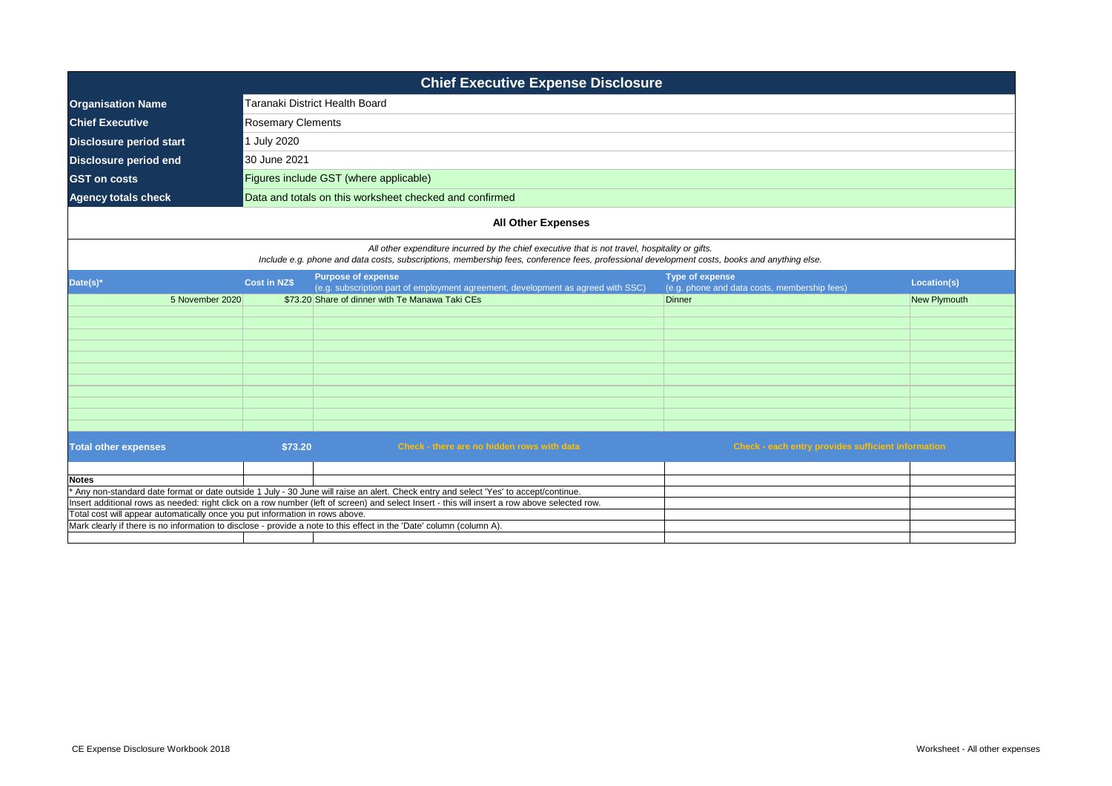| <b>Chief Executive Expense Disclosure</b>                                    |                           |                                                                                                                                                                                                                                                 |                                                                        |                     |  |  |
|------------------------------------------------------------------------------|---------------------------|-------------------------------------------------------------------------------------------------------------------------------------------------------------------------------------------------------------------------------------------------|------------------------------------------------------------------------|---------------------|--|--|
| <b>Organisation Name</b>                                                     |                           | Taranaki District Health Board                                                                                                                                                                                                                  |                                                                        |                     |  |  |
| <b>Chief Executive</b>                                                       | <b>Rosemary Clements</b>  |                                                                                                                                                                                                                                                 |                                                                        |                     |  |  |
| <b>Disclosure period start</b>                                               | 1 July 2020               |                                                                                                                                                                                                                                                 |                                                                        |                     |  |  |
| <b>Disclosure period end</b>                                                 | 30 June 2021              |                                                                                                                                                                                                                                                 |                                                                        |                     |  |  |
| <b>GST on costs</b>                                                          |                           | Figures include GST (where applicable)                                                                                                                                                                                                          |                                                                        |                     |  |  |
| <b>Agency totals check</b>                                                   |                           | Data and totals on this worksheet checked and confirmed                                                                                                                                                                                         |                                                                        |                     |  |  |
|                                                                              | <b>All Other Expenses</b> |                                                                                                                                                                                                                                                 |                                                                        |                     |  |  |
|                                                                              |                           | All other expenditure incurred by the chief executive that is not travel, hospitality or gifts.<br>Include e.g. phone and data costs, subscriptions, membership fees, conference fees, professional development costs, books and anything else. |                                                                        |                     |  |  |
| Date(s)*                                                                     | <b>Cost in NZ\$</b>       | <b>Purpose of expense</b><br>(e.g. subscription part of employment agreement, development as agreed with SSC)                                                                                                                                   | <b>Type of expense</b><br>(e.g. phone and data costs, membership fees) | Location(s)         |  |  |
| 5 November 2020                                                              |                           | \$73.20 Share of dinner with Te Manawa Taki CEs                                                                                                                                                                                                 | <b>Dinner</b>                                                          | <b>New Plymouth</b> |  |  |
|                                                                              |                           |                                                                                                                                                                                                                                                 |                                                                        |                     |  |  |
|                                                                              |                           |                                                                                                                                                                                                                                                 |                                                                        |                     |  |  |
|                                                                              |                           |                                                                                                                                                                                                                                                 |                                                                        |                     |  |  |
|                                                                              |                           |                                                                                                                                                                                                                                                 |                                                                        |                     |  |  |
|                                                                              |                           |                                                                                                                                                                                                                                                 |                                                                        |                     |  |  |
|                                                                              |                           |                                                                                                                                                                                                                                                 |                                                                        |                     |  |  |
|                                                                              |                           |                                                                                                                                                                                                                                                 |                                                                        |                     |  |  |
| <b>Total other expenses</b>                                                  | \$73.20                   | Check - there are no hidden rows with data                                                                                                                                                                                                      | Check - each entry provides sufficient information                     |                     |  |  |
| <b>Notes</b>                                                                 |                           |                                                                                                                                                                                                                                                 |                                                                        |                     |  |  |
|                                                                              |                           | Any non-standard date format or date outside 1 July - 30 June will raise an alert. Check entry and select 'Yes' to accept/continue.                                                                                                             |                                                                        |                     |  |  |
|                                                                              |                           | Insert additional rows as needed: right click on a row number (left of screen) and select Insert - this will insert a row above selected row.                                                                                                   |                                                                        |                     |  |  |
| Total cost will appear automatically once you put information in rows above. |                           | Mark clearly if there is no information to disclose - provide a note to this effect in the 'Date' column (column A).                                                                                                                            |                                                                        |                     |  |  |
|                                                                              |                           |                                                                                                                                                                                                                                                 |                                                                        |                     |  |  |